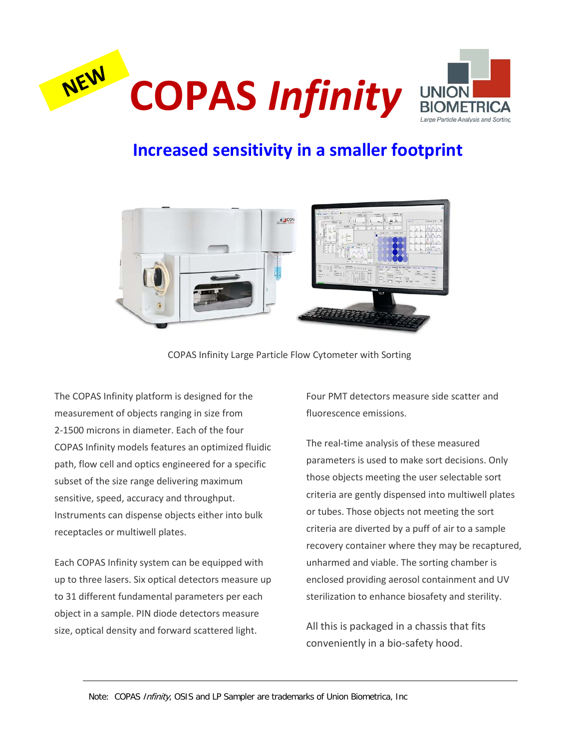



## **Increased sensitivity in a smaller footprint**



COPAS Infinity Large Particle Flow Cytometer with Sorting

The COPAS Infinity platform is designed for the measurement of objects ranging in size from 2-1500 microns in diameter. Each of the four COPAS Infinity models features an optimized fluidic path, flow cell and optics engineered for a specific subset of the size range delivering maximum sensitive, speed, accuracy and throughput. Instruments can dispense objects either into bulk receptacles or multiwell plates.

Each COPAS Infinity system can be equipped with up to three lasers. Six optical detectors measure up to 31 different fundamental parameters per each object in a sample. PIN diode detectors measure size, optical density and forward scattered light.

Four PMT detectors measure side scatter and fluorescence emissions.

The real-time analysis of these measured parameters is used to make sort decisions. Only those objects meeting the user selectable sort criteria are gently dispensed into multiwell plates or tubes. Those objects not meeting the sort criteria are diverted by a puff of air to a sample recovery container where they may be recaptured, unharmed and viable. The sorting chamber is enclosed providing aerosol containment and UV sterilization to enhance biosafety and sterility.

All this is packaged in a chassis that fits conveniently in a bio-safety hood.